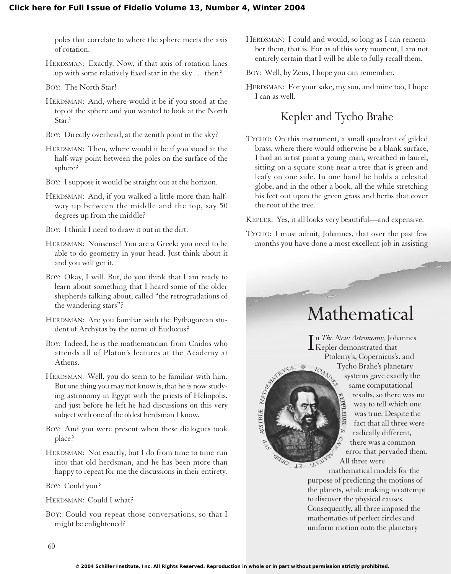poles that correlate to where the sphere meets the axis of rotation.

HERDSMAN: Exactly. Now, if that axis of rotation lines up with some relatively fixed star in the sky . . . then?

BOY: The North Star!

- HERDSMAN: And, where would it be if you stood at the top of the sphere and you wanted to look at the North Star?
- BOY: Directly overhead, at the zenith point in the sky?
- HERDSMAN: Then, where would it be if you stood at the half-way point between the poles on the surface of the sphere?
- BOY: I suppose it would be straight out at the horizon.
- HERDSMAN: And, if you walked a little more than halfway up between the middle and the top, say 50 degrees up from the middle?

BOY: I think I need to draw it out in the dirt.

- HERDSMAN: Nonsense! You are a Greek: you need to be able to do geometry in your head. Just think about it and you will get it.
- BOY: Okay, I will. But, do you think that I am ready to learn about something that I heard some of the older shepherds talking about, called "the retrogradations of the wandering stars"?
- HERDSMAN: Are you familiar with the Pythagorean student of Archytas by the name of Eudoxus?
- BOY: Indeed, he is the mathematician from Cnidos who attends all of Platon's lectures at the Academy at Athens.
- HERDSMAN: Well, you do seem to be familiar with him. But one thing you may not know is, that he is now studying astronomy in Egypt with the priests of Heliopolis, and just before he left he had discussions on this very subject with one of the oldest herdsman I know.
- BOY: And you were present when these dialogues took place?
- HERDSMAN: Not exactly, but I do from time to time run into that old herdsman, and he has been more than happy to repeat for me the discussions in their entirety.

BOY: Could you?

HERDSMAN: Could I what?

BOY: Could you repeat those conversations, so that I might be enlightened?

HERDSMAN: I could and would, so long as I can remember them, that is. For as of this very moment, I am not entirely certain that I will be able to fully recall them.

BOY: Well, by Zeus, I hope you can remember.

HERDSMAN: For your sake, my son, and mine too, I hope I can as well.

## Kepler and Tycho Brahe

TYCHO: On this instrument, a small quadrant of gilded brass, where there would otherwise be a blank surface, I had an artist paint a young man, wreathed in laurel, sitting on a square stone near a tree that is green and leafy on one side. In one hand he holds a celestial globe, and in the other a book, all the while stretching his feet out upon the green grass and herbs that cover the root of the tree.

KEPLER: Yes, it all looks very beautiful—and expensive.

TYCHO: I must admit, Johannes, that over the past few months you have done a most excellent job in assisting

 $I_{\rm O}$ 

## Mathematical

I n *The New Astronomy,* Johannes Kepler demonstrated that Ptolemy's, Copernicus's, and Tycho Brahe's planetary systems gave exactly the same computational results, so there was no **CLPPLER/S** way to tell which one was true. Despite the fact that all three were radically different, there was a common error that pervaded them. All three were

mathematical models for the purpose of predicting the motions of the planets, while making no attempt to discover the physical causes. Consequently, all three imposed the mathematics of perfect circles and uniform motion onto the planetary

ASSIBIRE MATINGS OF

addo

 $J\overline{J}$